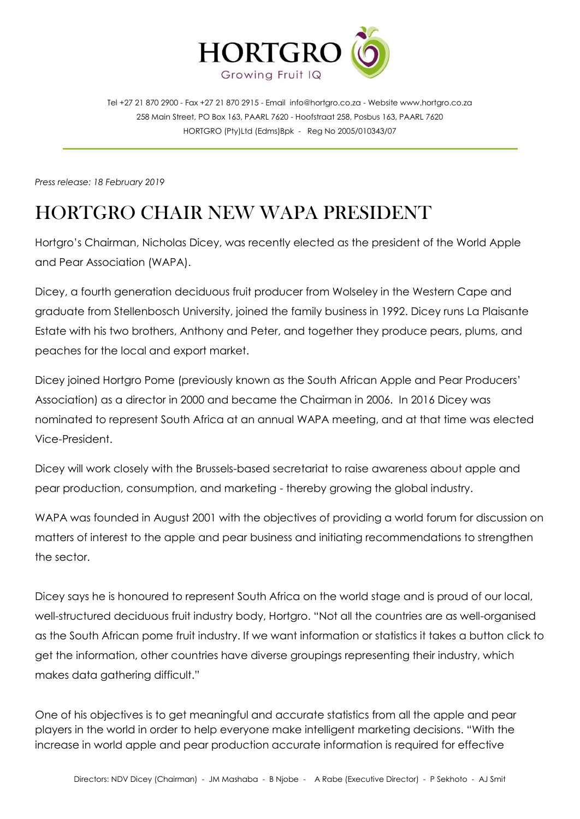

Tel +27 21 870 2900 - Fax +27 21 870 2915 - Email [info@hortgro.co.za](mailto:info@hortgro.co.za) - Website www.hortgro.co.za 258 Main Street, PO Box 163, PAARL 7620 - Hoofstraat 258, Posbus 163, PAARL 7620 HORTGRO (Pty)Ltd (Edms)Bpk - Reg No 2005/010343/07

*Press release: 18 February 2019*

## HORTGRO CHAIR NEW WAPA PRESIDENT

Hortgro's Chairman, Nicholas Dicey, was recently elected as the president of the World Apple and Pear Association (WAPA).

Dicey, a fourth generation deciduous fruit producer from Wolseley in the Western Cape and graduate from Stellenbosch University, joined the family business in 1992. Dicey runs La Plaisante Estate with his two brothers, Anthony and Peter, and together they produce pears, plums, and peaches for the local and export market.

Dicey joined Hortgro Pome (previously known as the South African Apple and Pear Producers' Association) as a director in 2000 and became the Chairman in 2006. In 2016 Dicey was nominated to represent South Africa at an annual WAPA meeting, and at that time was elected Vice-President.

Dicey will work closely with the Brussels-based secretariat to raise awareness about apple and pear production, consumption, and marketing - thereby growing the global industry.

WAPA was founded in August 2001 with the objectives of providing a world forum for discussion on matters of interest to the apple and pear business and initiating recommendations to strengthen the sector.

Dicey says he is honoured to represent South Africa on the world stage and is proud of our local, well-structured deciduous fruit industry body, Hortgro. "Not all the countries are as well-organised as the South African pome fruit industry. If we want information or statistics it takes a button click to get the information, other countries have diverse groupings representing their industry, which makes data gathering difficult."

One of his objectives is to get meaningful and accurate statistics from all the apple and pear players in the world in order to help everyone make intelligent marketing decisions. "With the increase in world apple and pear production accurate information is required for effective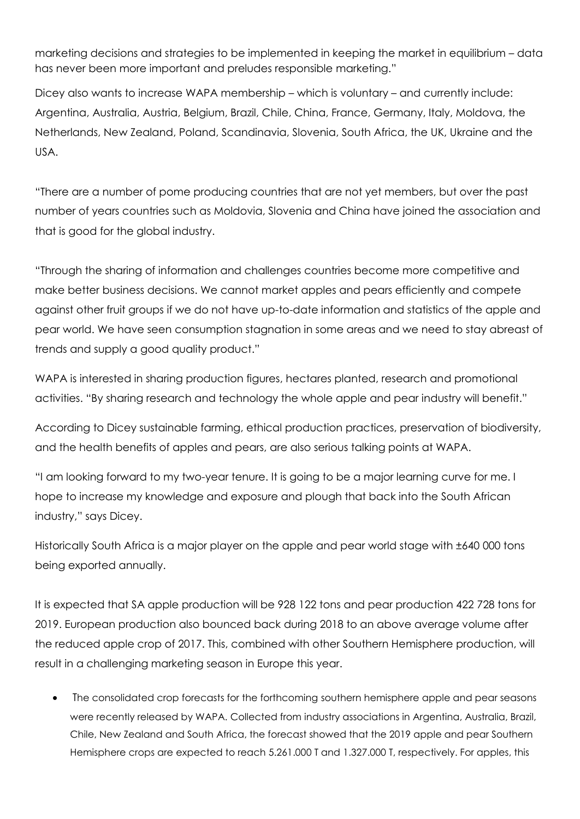marketing decisions and strategies to be implemented in keeping the market in equilibrium – data has never been more important and preludes responsible marketing."

Dicey also wants to increase WAPA membership – which is voluntary – and currently include: Argentina, Australia, Austria, Belgium, Brazil, Chile, China, France, Germany, Italy, Moldova, the Netherlands, New Zealand, Poland, Scandinavia, Slovenia, South Africa, the UK, Ukraine and the USA.

"There are a number of pome producing countries that are not yet members, but over the past number of years countries such as Moldovia, Slovenia and China have joined the association and that is good for the global industry.

"Through the sharing of information and challenges countries become more competitive and make better business decisions. We cannot market apples and pears efficiently and compete against other fruit groups if we do not have up-to-date information and statistics of the apple and pear world. We have seen consumption stagnation in some areas and we need to stay abreast of trends and supply a good quality product."

WAPA is interested in sharing production figures, hectares planted, research and promotional activities. "By sharing research and technology the whole apple and pear industry will benefit."

According to Dicey sustainable farming, ethical production practices, preservation of biodiversity, and the health benefits of apples and pears, are also serious talking points at WAPA.

"I am looking forward to my two-year tenure. It is going to be a major learning curve for me. I hope to increase my knowledge and exposure and plough that back into the South African industry," says Dicey.

Historically South Africa is a major player on the apple and pear world stage with ±640 000 tons being exported annually.

It is expected that SA apple production will be 928 122 tons and pear production 422 728 tons for 2019. European production also bounced back during 2018 to an above average volume after the reduced apple crop of 2017. This, combined with other Southern Hemisphere production, will result in a challenging marketing season in Europe this year.

 The consolidated crop forecasts for the forthcoming southern hemisphere apple and pear seasons were recently released by WAPA. Collected from industry associations in Argentina, Australia, Brazil, Chile, New Zealand and South Africa, the forecast showed that the 2019 apple and pear Southern Hemisphere crops are expected to reach 5.261.000 T and 1.327.000 T, respectively. For apples, this